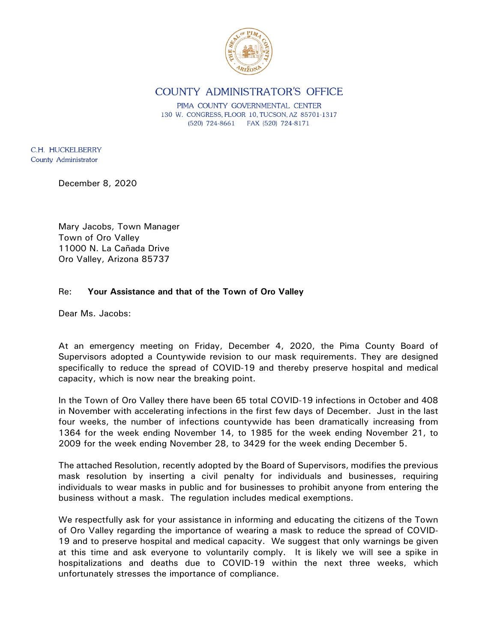

**COUNTY ADMINISTRATOR'S OFFICE** 

PIMA COUNTY GOVERNMENTAL CENTER 130 W. CONGRESS, FLOOR 10, TUCSON, AZ 85701-1317 (520) 724-8661 FAX (520) 724-8171

C.H. HUCKELBERRY County Administrator

December 8, 2020

Mary Jacobs, Town Manager Town of Oro Valley 11000 N. La Cañada Drive Oro Valley, Arizona 85737

## Re: **Your Assistance and that of the Town of Oro Valley**

Dear Ms. Jacobs:

At an emergency meeting on Friday, December 4, 2020, the Pima County Board of Supervisors adopted a Countywide revision to our mask requirements. They are designed specifically to reduce the spread of COVID-19 and thereby preserve hospital and medical capacity, which is now near the breaking point.

In the Town of Oro Valley there have been 65 total COVID-19 infections in October and 408 in November with accelerating infections in the first few days of December. Just in the last four weeks, the number of infections countywide has been dramatically increasing from 1364 for the week ending November 14, to 1985 for the week ending November 21, to 2009 for the week ending November 28, to 3429 for the week ending December 5.

The attached Resolution, recently adopted by the Board of Supervisors, modifies the previous mask resolution by inserting a civil penalty for individuals and businesses, requiring individuals to wear masks in public and for businesses to prohibit anyone from entering the business without a mask. The regulation includes medical exemptions.

We respectfully ask for your assistance in informing and educating the citizens of the Town of Oro Valley regarding the importance of wearing a mask to reduce the spread of COVID-19 and to preserve hospital and medical capacity. We suggest that only warnings be given at this time and ask everyone to voluntarily comply. It is likely we will see a spike in hospitalizations and deaths due to COVID-19 within the next three weeks, which unfortunately stresses the importance of compliance.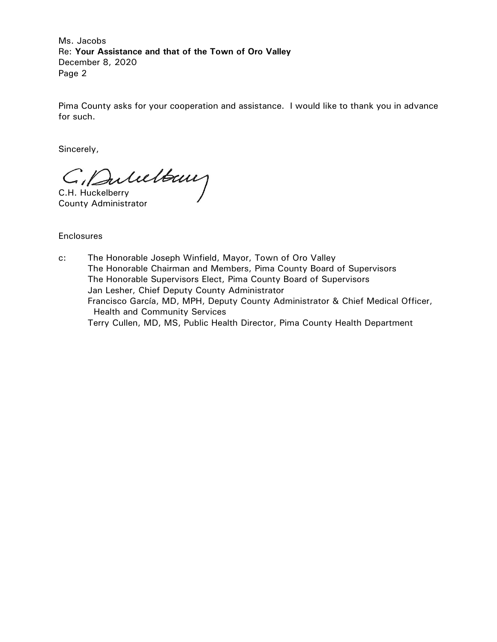Ms. Jacobs Re: **Your Assistance and that of the Town of Oro Valley** December 8, 2020 Page 2

Pima County asks for your cooperation and assistance. I would like to thank you in advance for such.

Sincerely,

C. Dulultaux

County Administrator

**Enclosures** 

c: The Honorable Joseph Winfield, Mayor, Town of Oro Valley The Honorable Chairman and Members, Pima County Board of Supervisors The Honorable Supervisors Elect, Pima County Board of Supervisors Jan Lesher, Chief Deputy County Administrator Francisco García, MD, MPH, Deputy County Administrator & Chief Medical Officer, Health and Community Services Terry Cullen, MD, MS, Public Health Director, Pima County Health Department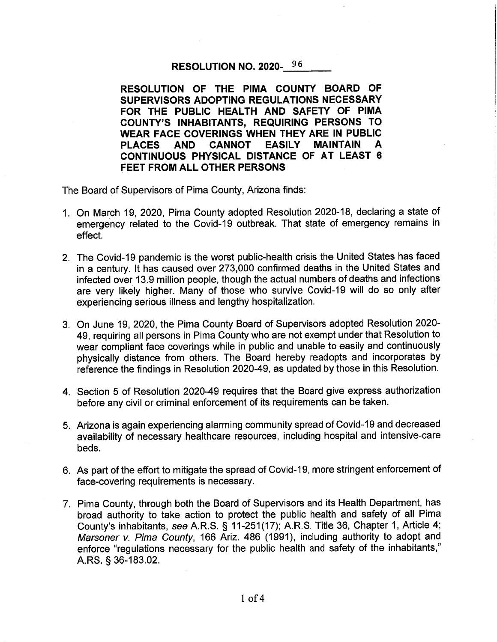## RESOLUTION NO. 2020-96

RESOLUTION OF THE PIMA COUNTY BOARD OF SUPERVISORS ADOPTING REGULATIONS NECESSARY FOR THE PUBLIC HEALTH AND SAFETY OF PIMA **COUNTY'S INHABITANTS, REQUIRING PERSONS TO** WEAR FACE COVERINGS WHEN THEY ARE IN PUBLIC **PLACES** AND CANNOT **EASILY MAINTAIN** A CONTINUOUS PHYSICAL DISTANCE OF AT LEAST 6 FEET FROM ALL OTHER PERSONS

The Board of Supervisors of Pima County, Arizona finds:

- 1. On March 19, 2020, Pima County adopted Resolution 2020-18, declaring a state of emergency related to the Covid-19 outbreak. That state of emergency remains in effect.
- 2. The Covid-19 pandemic is the worst public-health crisis the United States has faced in a century. It has caused over 273,000 confirmed deaths in the United States and infected over 13.9 million people, though the actual numbers of deaths and infections are very likely higher. Many of those who survive Covid-19 will do so only after experiencing serious illness and lengthy hospitalization.
- 3. On June 19, 2020, the Pima County Board of Supervisors adopted Resolution 2020-49, requiring all persons in Pima County who are not exempt under that Resolution to wear compliant face coverings while in public and unable to easily and continuously physically distance from others. The Board hereby readopts and incorporates by reference the findings in Resolution 2020-49, as updated by those in this Resolution.
- 4. Section 5 of Resolution 2020-49 requires that the Board give express authorization before any civil or criminal enforcement of its requirements can be taken.
- 5. Arizona is again experiencing alarming community spread of Covid-19 and decreased availability of necessary healthcare resources, including hospital and intensive-care beds.
- 6. As part of the effort to mitigate the spread of Covid-19, more stringent enforcement of face-covering requirements is necessary.
- 7. Pima County, through both the Board of Supervisors and its Health Department, has broad authority to take action to protect the public health and safety of all Pima County's inhabitants, see A.R.S. § 11-251(17); A.R.S. Title 36, Chapter 1, Article 4; Marsoner v. Pima County, 166 Ariz. 486 (1991), including authority to adopt and enforce "regulations necessary for the public health and safety of the inhabitants," A.RS. § 36-183.02.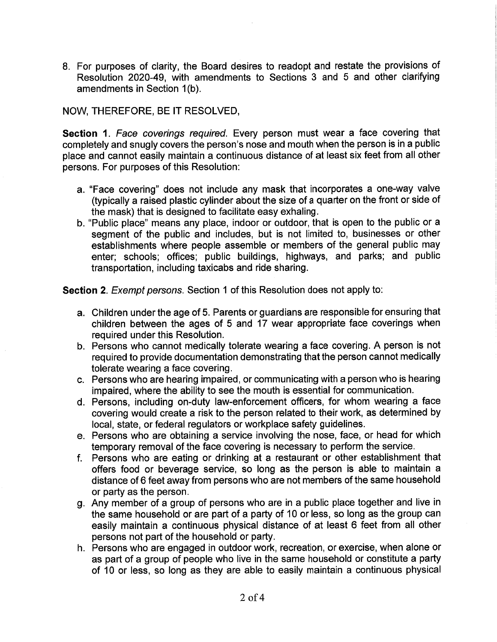8. For purposes of clarity, the Board desires to readopt and restate the provisions of Resolution 2020-49, with amendments to Sections 3 and 5 and other clarifying amendments in Section 1(b).

## NOW, THEREFORE, BE IT RESOLVED,

Section 1. Face coverings required. Every person must wear a face covering that completely and snugly covers the person's nose and mouth when the person is in a public place and cannot easily maintain a continuous distance of at least six feet from all other persons. For purposes of this Resolution:

- a. "Face covering" does not include any mask that incorporates a one-way valve (typically a raised plastic cylinder about the size of a quarter on the front or side of the mask) that is designed to facilitate easy exhaling.
- b. "Public place" means any place, indoor or outdoor, that is open to the public or a segment of the public and includes, but is not limited to, businesses or other establishments where people assemble or members of the general public may enter; schools; offices; public buildings, highways, and parks; and public transportation, including taxicabs and ride sharing.

Section 2. Exempt persons. Section 1 of this Resolution does not apply to:

- a. Children under the age of 5. Parents or guardians are responsible for ensuring that children between the ages of 5 and 17 wear appropriate face coverings when required under this Resolution.
- b. Persons who cannot medically tolerate wearing a face covering. A person is not required to provide documentation demonstrating that the person cannot medically tolerate wearing a face covering.
- c. Persons who are hearing impaired, or communicating with a person who is hearing impaired, where the ability to see the mouth is essential for communication.
- d. Persons, including on-duty law-enforcement officers, for whom wearing a face covering would create a risk to the person related to their work, as determined by local, state, or federal regulators or workplace safety guidelines.
- e. Persons who are obtaining a service involving the nose, face, or head for which temporary removal of the face covering is necessary to perform the service.
- f. Persons who are eating or drinking at a restaurant or other establishment that offers food or beverage service, so long as the person is able to maintain a distance of 6 feet away from persons who are not members of the same household or party as the person.
- g. Any member of a group of persons who are in a public place together and live in the same household or are part of a party of 10 or less, so long as the group can easily maintain a continuous physical distance of at least 6 feet from all other persons not part of the household or party.
- h. Persons who are engaged in outdoor work, recreation, or exercise, when alone or as part of a group of people who live in the same household or constitute a party of 10 or less, so long as they are able to easily maintain a continuous physical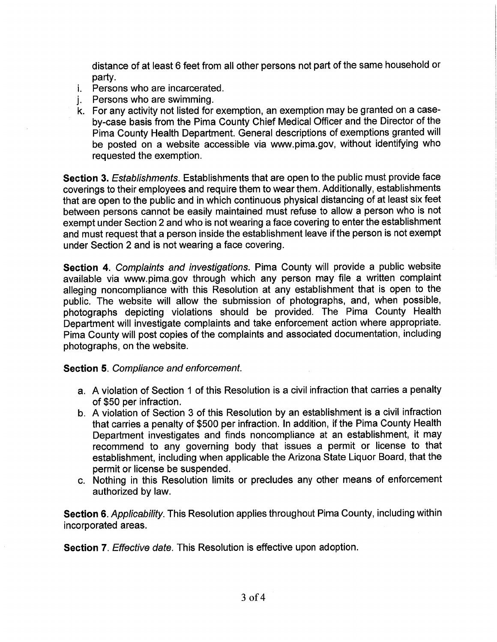distance of at least 6 feet from all other persons not part of the same household or partv.

- *i.* Persons who are incarcerated.
- Persons who are swimming. i.
- k. For any activity not listed for exemption, an exemption may be granted on a caseby-case basis from the Pima County Chief Medical Officer and the Director of the Pima County Health Department. General descriptions of exemptions granted will be posted on a website accessible via www.pima.gov, without identifying who requested the exemption.

Section 3. Establishments. Establishments that are open to the public must provide face coverings to their employees and require them to wear them. Additionally, establishments that are open to the public and in which continuous physical distancing of at least six feet between persons cannot be easily maintained must refuse to allow a person who is not exempt under Section 2 and who is not wearing a face covering to enter the establishment and must request that a person inside the establishment leave if the person is not exempt under Section 2 and is not wearing a face covering.

Section 4. Complaints and investigations. Pima County will provide a public website available via www.pima.gov through which any person may file a written complaint alleging noncompliance with this Resolution at any establishment that is open to the public. The website will allow the submission of photographs, and, when possible, photographs depicting violations should be provided. The Pima County Health Department will investigate complaints and take enforcement action where appropriate. Pima County will post copies of the complaints and associated documentation, including photographs, on the website.

## **Section 5. Compliance and enforcement.**

- a. A violation of Section 1 of this Resolution is a civil infraction that carries a penalty of \$50 per infraction.
- b. A violation of Section 3 of this Resolution by an establishment is a civil infraction that carries a penalty of \$500 per infraction. In addition, if the Pima County Health Department investigates and finds noncompliance at an establishment, it may recommend to any governing body that issues a permit or license to that establishment, including when applicable the Arizona State Liquor Board, that the permit or license be suspended.
- c. Nothing in this Resolution limits or precludes any other means of enforcement authorized by law.

Section 6. Applicability. This Resolution applies throughout Pima County, including within incorporated areas.

**Section 7.** Effective date. This Resolution is effective upon adoption.